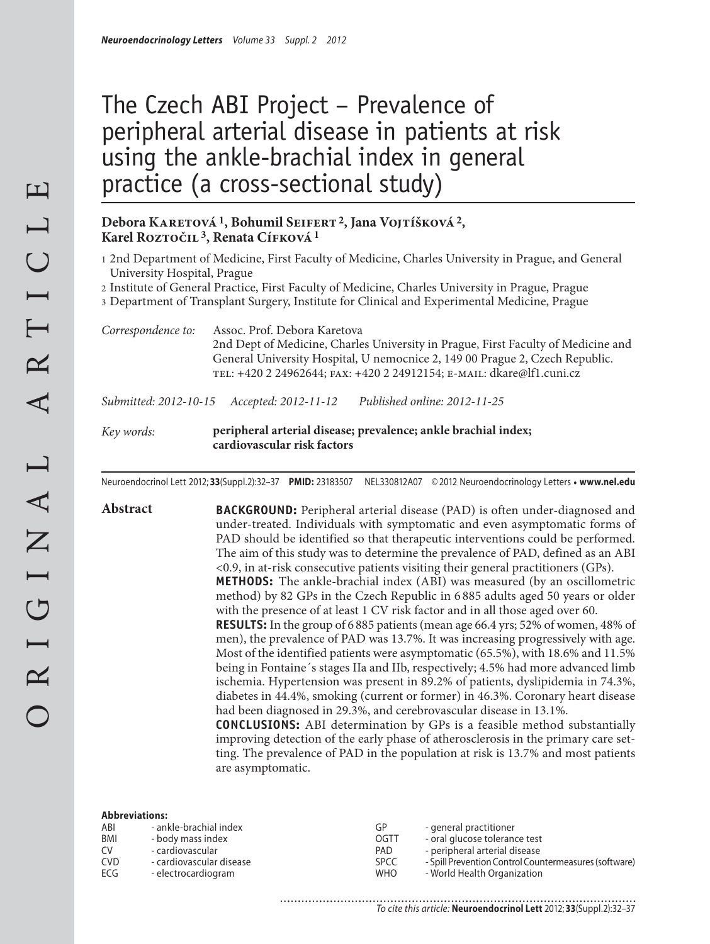# The Czech ABI Project – Prevalence of peripheral arterial disease in patients at risk using the ankle-brachial index in general practice (a cross-sectional study)

## Debora KARETOVÁ<sup>1</sup>, Bohumil SEIFERT<sup>2</sup>, Jana VOJTÍŠKOVÁ<sup>2</sup>, Karel Roztočil<sup>3</sup>, Renata Cífková<sup>1</sup>

1 2nd Department of Medicine, First Faculty of Medicine, Charles University in Prague, and General University Hospital, Prague

2 Institute of General Practice, First Faculty of Medicine, Charles University in Prague, Prague

3 Department of Transplant Surgery, Institute for Clinical and Experimental Medicine, Prague

*Correspondence to:* Assoc. Prof. Debora Karetova 2nd Dept of Medicine, Charles University in Prague, First Faculty of Medicine and General University Hospital, U nemocnice 2, 149 00 Prague 2, Czech Republic. tel: +420 2 24962644; fax: +420 2 24912154; e-mail: dkare@lf1.cuni.cz

*Submitted: 2012-10-15 Accepted: 2012-11-12 Published online: 2012-11-25*

*Key words:* **peripheral arterial disease; prevalence; ankle brachial index; cardiovascular risk factors**

are asymptomatic.

Neuroendocrinol Lett 2012; **33**(Suppl.2):32–37 **PMID:** 23183507 NEL330812A07 © 2012 Neuroendocrinology Letters • **www.nel.edu**

**Abstract BACKGROUND:** Peripheral arterial disease (PAD) is often under-diagnosed and under-treated. Individuals with symptomatic and even asymptomatic forms of PAD should be identified so that therapeutic interventions could be performed. The aim of this study was to determine the prevalence of PAD, defined as an ABI <0.9, in at-risk consecutive patients visiting their general practitioners (GPs). **METHODS:** The ankle-brachial index (ABI) was measured (by an oscillometric method) by 82 GPs in the Czech Republic in 6 885 adults aged 50 years or older with the presence of at least 1 CV risk factor and in all those aged over 60. **RESULTS:** In the group of 6 885 patients (mean age 66.4 yrs; 52% of women, 48% of men), the prevalence of PAD was 13.7%. It was increasing progressively with age. Most of the identified patients were asymptomatic (65.5%), with 18.6% and 11.5% being in Fontaine´s stages IIa and IIb, respectively; 4.5% had more advanced limb ischemia. Hypertension was present in 89.2% of patients, dyslipidemia in 74.3%, diabetes in 44.4%, smoking (current or former) in 46.3%. Coronary heart disease had been diagnosed in 29.3%, and cerebrovascular disease in 13.1%. **CONCLUSIONS:** ABI determination by GPs is a feasible method substantially improving detection of the early phase of atherosclerosis in the primary care setting. The prevalence of PAD in the population at risk is 13.7% and most patients

#### **Abbreviations:**

| ABI        | - ankle-brachial index   | GP          | - general practitioner                                |
|------------|--------------------------|-------------|-------------------------------------------------------|
| <b>BMI</b> | - body mass index        | OGTT        | - oral glucose tolerance test                         |
| CV         | - cardiovascular         | PAD.        | - peripheral arterial disease                         |
| <b>CVD</b> | - cardiovascular disease | <b>SPCC</b> | - Spill Prevention Control Countermeasures (software) |
| ECG        | - electrocardiogram      | <b>WHO</b>  | - World Health Organization                           |
|            |                          |             |                                                       |

.......................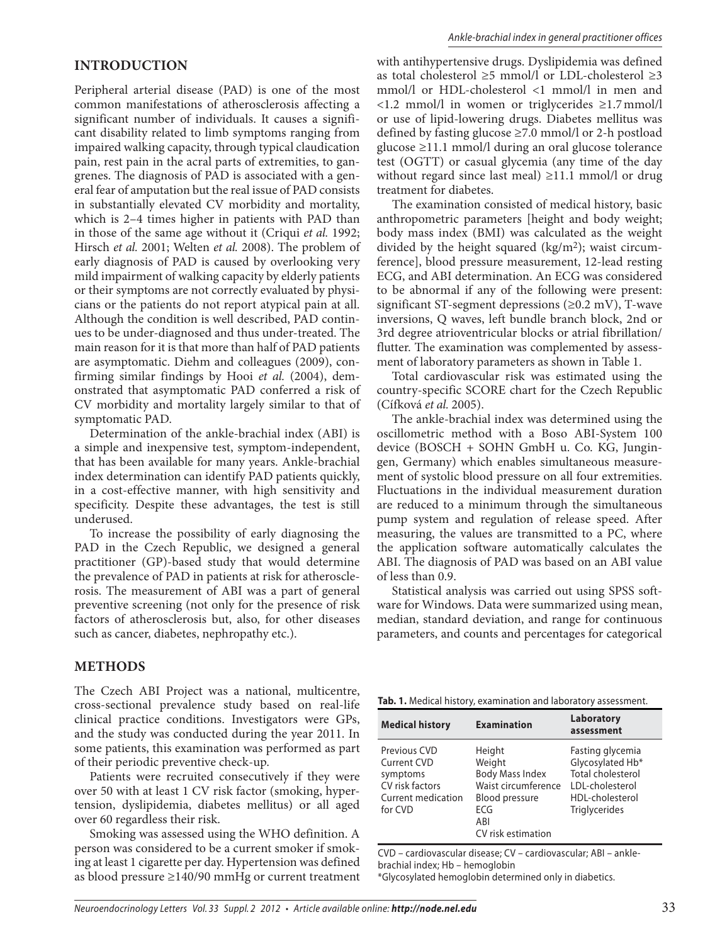### **INTRODUCTION**

Peripheral arterial disease (PAD) is one of the most common manifestations of atherosclerosis affecting a significant number of individuals. It causes a significant disability related to limb symptoms ranging from impaired walking capacity, through typical claudication pain, rest pain in the acral parts of extremities, to gangrenes. The diagnosis of PAD is associated with a general fear of amputation but the real issue of PAD consists in substantially elevated CV morbidity and mortality, which is 2–4 times higher in patients with PAD than in those of the same age without it (Criqui *et al.* 1992; Hirsch *et al.* 2001; Welten *et al.* 2008). The problem of early diagnosis of PAD is caused by overlooking very mild impairment of walking capacity by elderly patients or their symptoms are not correctly evaluated by physicians or the patients do not report atypical pain at all. Although the condition is well described, PAD continues to be under-diagnosed and thus under-treated. The main reason for it is that more than half of PAD patients are asymptomatic. Diehm and colleagues (2009), confirming similar findings by Hooi *et al.* (2004), demonstrated that asymptomatic PAD conferred a risk of CV morbidity and mortality largely similar to that of symptomatic PAD.

Determination of the ankle-brachial index (ABI) is a simple and inexpensive test, symptom-independent, that has been available for many years. Ankle-brachial index determination can identify PAD patients quickly, in a cost-effective manner, with high sensitivity and specificity. Despite these advantages, the test is still underused.

To increase the possibility of early diagnosing the PAD in the Czech Republic, we designed a general practitioner (GP)-based study that would determine the prevalence of PAD in patients at risk for atherosclerosis. The measurement of ABI was a part of general preventive screening (not only for the presence of risk factors of atherosclerosis but, also, for other diseases such as cancer, diabetes, nephropathy etc.).

#### **METHODS**

The Czech ABI Project was a national, multicentre, cross-sectional prevalence study based on real-life clinical practice conditions. Investigators were GPs, and the study was conducted during the year 2011. In some patients, this examination was performed as part of their periodic preventive check-up.

Patients were recruited consecutively if they were over 50 with at least 1 CV risk factor (smoking, hypertension, dyslipidemia, diabetes mellitus) or all aged over 60 regardless their risk.

Smoking was assessed using the WHO definition. A person was considered to be a current smoker if smoking at least 1 cigarette per day. Hypertension was defined as blood pressure ≥140/90 mmHg or current treatment with antihypertensive drugs. Dyslipidemia was defined as total cholesterol  $\geq$ 5 mmol/l or LDL-cholesterol  $\geq$ 3 mmol/l or HDL-cholesterol <1 mmol/l in men and <1.2 mmol/l in women or triglycerides ≥1.7 mmol/l or use of lipid-lowering drugs. Diabetes mellitus was defined by fasting glucose ≥7.0 mmol/l or 2-h postload glucose ≥11.1 mmol/l during an oral glucose tolerance test (OGTT) or casual glycemia (any time of the day without regard since last meal) ≥11.1 mmol/l or drug treatment for diabetes.

The examination consisted of medical history, basic anthropometric parameters [height and body weight; body mass index (BMI) was calculated as the weight divided by the height squared  $(kg/m<sup>2</sup>)$ ; waist circumference], blood pressure measurement, 12-lead resting ECG, and ABI determination. An ECG was considered to be abnormal if any of the following were present: significant ST-segment depressions  $(\geq 0.2 \text{ mV})$ , T-wave inversions, Q waves, left bundle branch block, 2nd or 3rd degree atrioventricular blocks or atrial fibrillation/ flutter. The examination was complemented by assessment of laboratory parameters as shown in Table 1.

Total cardiovascular risk was estimated using the country-specific SCORE chart for the Czech Republic (Cífková *et al.* 2005).

The ankle-brachial index was determined using the oscillometric method with a Boso ABI-System 100 device (BOSCH + SOHN GmbH u. Co. KG, Jungingen, Germany) which enables simultaneous measurement of systolic blood pressure on all four extremities. Fluctuations in the individual measurement duration are reduced to a minimum through the simultaneous pump system and regulation of release speed. After measuring, the values are transmitted to a PC, where the application software automatically calculates the ABI. The diagnosis of PAD was based on an ABI value of less than 0.9.

Statistical analysis was carried out using SPSS software for Windows. Data were summarized using mean, median, standard deviation, and range for continuous parameters, and counts and percentages for categorical

**Tab. 1.** Medical history, examination and laboratory assessment.

| <b>Medical history</b>                                                                      | <b>Examination</b>                                                                                                                    | Laboratory<br>assessment                                                                                                |
|---------------------------------------------------------------------------------------------|---------------------------------------------------------------------------------------------------------------------------------------|-------------------------------------------------------------------------------------------------------------------------|
| Previous CVD<br>Current CVD<br>symptoms<br>CV risk factors<br>Current medication<br>for CVD | Height<br>Weight<br><b>Body Mass Index</b><br>Waist circumference<br><b>Blood pressure</b><br><b>FCG</b><br>ABI<br>CV risk estimation | Fasting glycemia<br>Glycosylated Hb*<br>Total cholesterol<br>LDL-cholesterol<br>HDL-cholesterol<br><b>Triglycerides</b> |

CVD – cardiovascular disease; CV – cardiovascular; ABI – anklebrachial index; Hb – hemoglobin \*Glycosylated hemoglobin determined only in diabetics.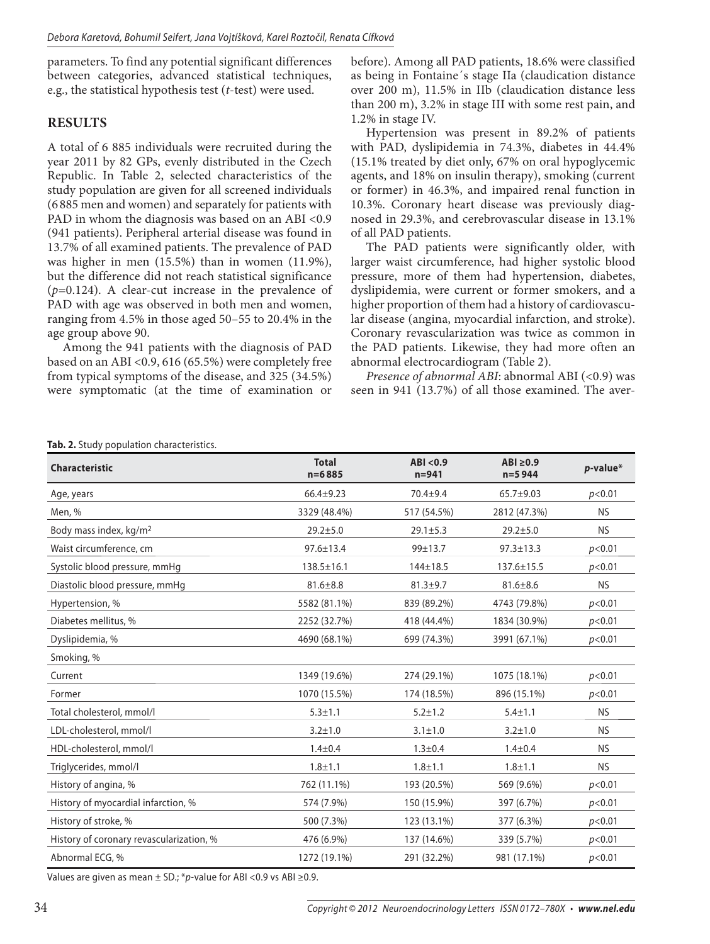parameters. To find any potential significant differences between categories, advanced statistical techniques, e.g., the statistical hypothesis test (*t*-test) were used.

## **RESULTS**

A total of 6 885 individuals were recruited during the year 2011 by 82 GPs, evenly distributed in the Czech Republic. In Table 2, selected characteristics of the study population are given for all screened individuals (6 885 men and women) and separately for patients with PAD in whom the diagnosis was based on an ABI <0.9 (941 patients). Peripheral arterial disease was found in 13.7% of all examined patients. The prevalence of PAD was higher in men (15.5%) than in women (11.9%), but the difference did not reach statistical significance (*p=*0.124). A clear-cut increase in the prevalence of PAD with age was observed in both men and women, ranging from 4.5% in those aged 50–55 to 20.4% in the age group above 90.

Among the 941 patients with the diagnosis of PAD based on an ABI <0.9, 616 (65.5%) were completely free from typical symptoms of the disease, and 325 (34.5%) were symptomatic (at the time of examination or before). Among all PAD patients, 18.6% were classified as being in Fontaine´s stage IIa (claudication distance over 200 m), 11.5% in IIb (claudication distance less than 200 m), 3.2% in stage III with some rest pain, and 1.2% in stage IV.

Hypertension was present in 89.2% of patients with PAD, dyslipidemia in 74.3%, diabetes in 44.4% (15.1% treated by diet only, 67% on oral hypoglycemic agents, and 18% on insulin therapy), smoking (current or former) in 46.3%, and impaired renal function in 10.3%. Coronary heart disease was previously diagnosed in 29.3%, and cerebrovascular disease in 13.1% of all PAD patients.

The PAD patients were significantly older, with larger waist circumference, had higher systolic blood pressure, more of them had hypertension, diabetes, dyslipidemia, were current or former smokers, and a higher proportion of them had a history of cardiovascular disease (angina, myocardial infarction, and stroke). Coronary revascularization was twice as common in the PAD patients. Likewise, they had more often an abnormal electrocardiogram (Table 2).

*Presence of abnormal ABI*: abnormal ABI (<0.9) was seen in 941 (13.7%) of all those examined. The aver-

## **Tab. 2.** Study population characteristics.

| Characteristic                           | <b>Total</b><br>$n = 6885$ | ABI < 0.9<br>$n = 941$ | $ABI \ge 0.9$<br>$n = 5944$ | $p$ -value* |
|------------------------------------------|----------------------------|------------------------|-----------------------------|-------------|
| Age, years                               | $66.4 \pm 9.23$            | 70.4±9.4               | $65.7 + 9.03$               | p<0.01      |
| Men, %                                   | 3329 (48.4%)               | 517 (54.5%)            | 2812 (47.3%)                | <b>NS</b>   |
| Body mass index, kg/m <sup>2</sup>       | $29.2 + 5.0$               | $29.1 \pm 5.3$         | $29.2 + 5.0$                | <b>NS</b>   |
| Waist circumference, cm                  | $97.6 \pm 13.4$            | 99±13.7                | $97.3 \pm 13.3$             | p<0.01      |
| Systolic blood pressure, mmHg            | $138.5 \pm 16.1$           | 144±18.5               | 137.6±15.5                  | p<0.01      |
| Diastolic blood pressure, mmHg           | $81.6 \pm 8.8$             | $81.3 \pm 9.7$         | $81.6 \pm 8.6$              | <b>NS</b>   |
| Hypertension, %                          | 5582 (81.1%)               | 839 (89.2%)            | 4743 (79.8%)                | p<0.01      |
| Diabetes mellitus, %                     | 2252 (32.7%)               | 418 (44.4%)            | 1834 (30.9%)                | p<0.01      |
| Dyslipidemia, %                          | 4690 (68.1%)               | 699 (74.3%)            | 3991 (67.1%)                | p<0.01      |
| Smoking, %                               |                            |                        |                             |             |
| Current                                  | 1349 (19.6%)               | 274 (29.1%)            | 1075 (18.1%)                | p<0.01      |
| Former                                   | 1070 (15.5%)               | 174 (18.5%)            | 896 (15.1%)                 | p<0.01      |
| Total cholesterol, mmol/l                | $5.3 + 1.1$                | $5.2 \pm 1.2$          | $5.4 \pm 1.1$               | <b>NS</b>   |
| LDL-cholesterol, mmol/l                  | $3.2 + 1.0$                | $3.1 \pm 1.0$          | $3.2 \pm 1.0$               | <b>NS</b>   |
| HDL-cholesterol, mmol/l                  | $1.4 + 0.4$                | $1.3 + 0.4$            | $1.4 + 0.4$                 | <b>NS</b>   |
| Triglycerides, mmol/l                    | $1.8 + 1.1$                | $1.8 + 1.1$            | $1.8 + 1.1$                 | <b>NS</b>   |
| History of angina, %                     | 762 (11.1%)                | 193 (20.5%)            | 569 (9.6%)                  | p<0.01      |
| History of myocardial infarction, %      | 574 (7.9%)                 | 150 (15.9%)            | 397 (6.7%)                  | p<0.01      |
| History of stroke, %                     | 500 (7.3%)                 | 123 (13.1%)            | 377 (6.3%)                  | p<0.01      |
| History of coronary revascularization, % | 476 (6.9%)                 | 137 (14.6%)            | 339 (5.7%)                  | p<0.01      |
| Abnormal ECG, %                          | 1272 (19.1%)               | 291 (32.2%)            | 981 (17.1%)                 | p<0.01      |

Values are given as mean  $±$  SD.; \*p-value for ABI <0.9 vs ABI ≥0.9.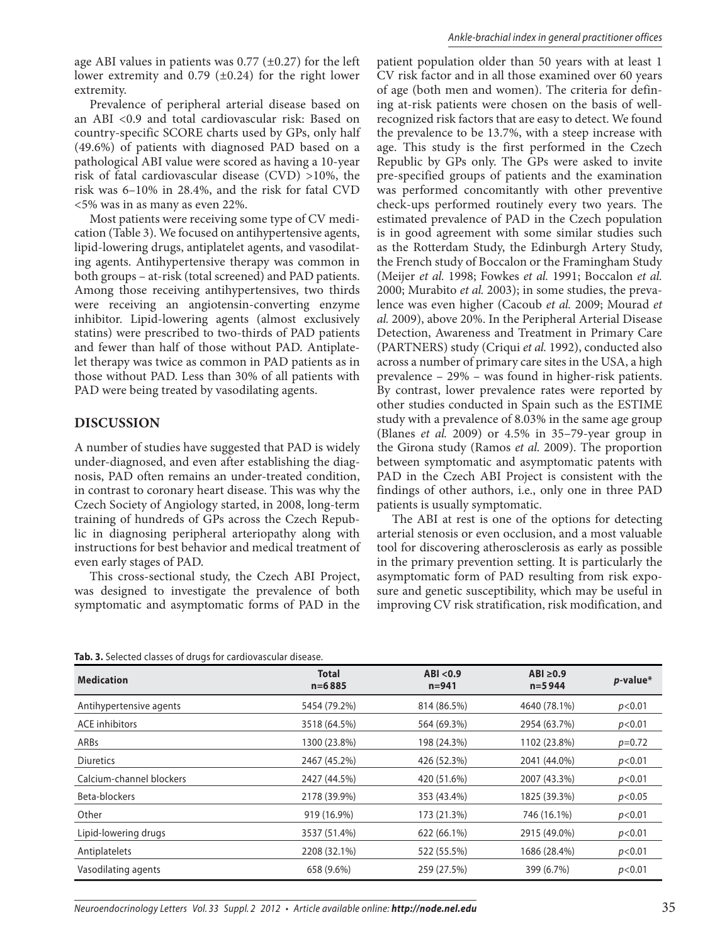age ABI values in patients was  $0.77$  ( $\pm 0.27$ ) for the left lower extremity and  $0.79$  ( $\pm 0.24$ ) for the right lower extremity.

Prevalence of peripheral arterial disease based on an ABI <0.9 and total cardiovascular risk: Based on country-specific SCORE charts used by GPs, only half (49.6%) of patients with diagnosed PAD based on a pathological ABI value were scored as having a 10-year risk of fatal cardiovascular disease (CVD) >10%, the risk was 6–10% in 28.4%, and the risk for fatal CVD <5% was in as many as even 22%.

Most patients were receiving some type of CV medication (Table 3). We focused on antihypertensive agents, lipid-lowering drugs, antiplatelet agents, and vasodilating agents. Antihypertensive therapy was common in both groups – at-risk (total screened) and PAD patients. Among those receiving antihypertensives, two thirds were receiving an angiotensin-converting enzyme inhibitor. Lipid-lowering agents (almost exclusively statins) were prescribed to two-thirds of PAD patients and fewer than half of those without PAD. Antiplatelet therapy was twice as common in PAD patients as in those without PAD. Less than 30% of all patients with PAD were being treated by vasodilating agents.

#### **DISCUSSION**

A number of studies have suggested that PAD is widely under-diagnosed, and even after establishing the diagnosis, PAD often remains an under-treated condition, in contrast to coronary heart disease. This was why the Czech Society of Angiology started, in 2008, long-term training of hundreds of GPs across the Czech Republic in diagnosing peripheral arteriopathy along with instructions for best behavior and medical treatment of even early stages of PAD.

This cross-sectional study, the Czech ABI Project, was designed to investigate the prevalence of both symptomatic and asymptomatic forms of PAD in the

**Tab. 3.** Selected classes of drugs for cardiovascular disease.

patient population older than 50 years with at least 1 CV risk factor and in all those examined over 60 years of age (both men and women). The criteria for defining at-risk patients were chosen on the basis of wellrecognized risk factors that are easy to detect. We found the prevalence to be 13.7%, with a steep increase with age. This study is the first performed in the Czech Republic by GPs only. The GPs were asked to invite pre-specified groups of patients and the examination was performed concomitantly with other preventive check-ups performed routinely every two years. The estimated prevalence of PAD in the Czech population is in good agreement with some similar studies such as the Rotterdam Study, the Edinburgh Artery Study, the French study of Boccalon or the Framingham Study (Meijer *et al.* 1998; Fowkes *et al.* 1991; Boccalon *et al.*  2000; Murabito *et al.* 2003); in some studies, the prevalence was even higher (Cacoub *et al.* 2009; Mourad *et al.* 2009), above 20%. In the Peripheral Arterial Disease Detection, Awareness and Treatment in Primary Care (PARTNERS) study (Criqui *et al.* 1992), conducted also across a number of primary care sites in the USA, a high prevalence – 29% – was found in higher-risk patients. By contrast, lower prevalence rates were reported by other studies conducted in Spain such as the ESTIME study with a prevalence of 8.03% in the same age group (Blanes *et al.* 2009) or 4.5% in 35–79-year group in the Girona study (Ramos *et al.* 2009). The proportion between symptomatic and asymptomatic patents with PAD in the Czech ABI Project is consistent with the findings of other authors, i.e., only one in three PAD patients is usually symptomatic.

The ABI at rest is one of the options for detecting arterial stenosis or even occlusion, and a most valuable tool for discovering atherosclerosis as early as possible in the primary prevention setting. It is particularly the asymptomatic form of PAD resulting from risk exposure and genetic susceptibility, which may be useful in improving CV risk stratification, risk modification, and

| <b>Medication</b>        | <b>Total</b><br>$n = 6885$ | ABI < 0.9<br>$n = 941$ | ABI $\geq 0.9$<br>$n = 5944$ | $p$ -value* |  |  |  |
|--------------------------|----------------------------|------------------------|------------------------------|-------------|--|--|--|
| Antihypertensive agents  | 5454 (79.2%)               | 814 (86.5%)            | 4640 (78.1%)                 | p<0.01      |  |  |  |
| ACE inhibitors           | 3518 (64.5%)               | 564 (69.3%)            | 2954 (63.7%)                 | p<0.01      |  |  |  |
| ARBs                     | 1300 (23.8%)               | 198 (24.3%)            | 1102 (23.8%)                 | $p=0.72$    |  |  |  |
| <b>Diuretics</b>         | 2467 (45.2%)               | 426 (52.3%)            | 2041 (44.0%)                 | p<0.01      |  |  |  |
| Calcium-channel blockers | 2427 (44.5%)               | 420 (51.6%)            | 2007 (43.3%)                 | p<0.01      |  |  |  |
| Beta-blockers            | 2178 (39.9%)               | 353 (43.4%)            | 1825 (39.3%)                 | p<0.05      |  |  |  |
| Other                    | 919 (16.9%)                | 173 (21.3%)            | 746 (16.1%)                  | p<0.01      |  |  |  |
| Lipid-lowering drugs     | 3537 (51.4%)               | 622 (66.1%)            | 2915 (49.0%)                 | p<0.01      |  |  |  |
| Antiplatelets            | 2208 (32.1%)               | 522 (55.5%)            | 1686 (28.4%)                 | p<0.01      |  |  |  |
| Vasodilating agents      | 658 (9.6%)                 | 259 (27.5%)            | 399 (6.7%)                   | p<0.01      |  |  |  |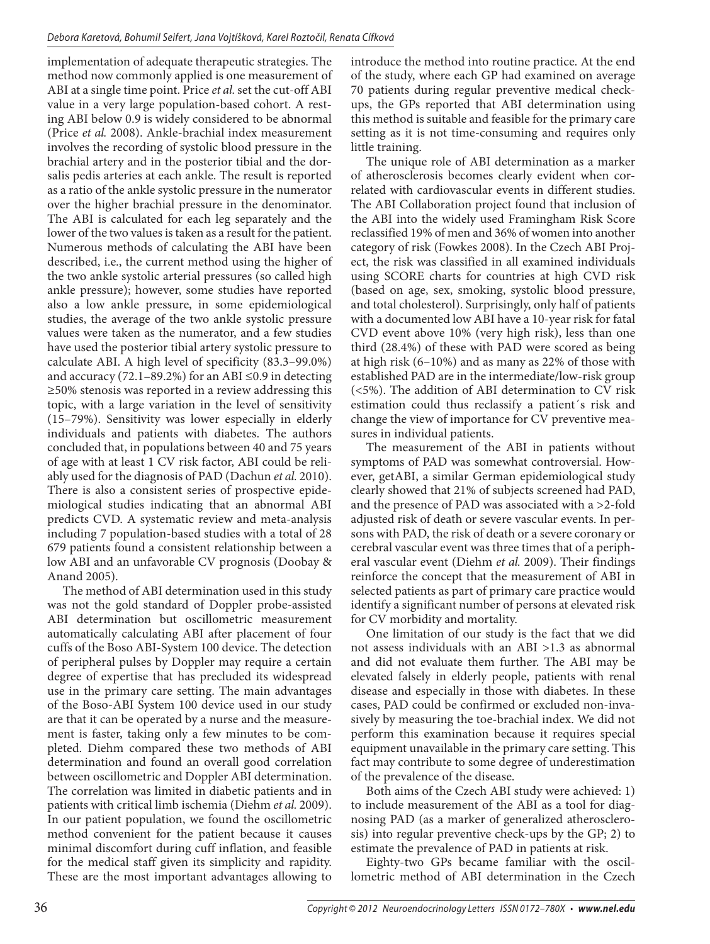implementation of adequate therapeutic strategies. The method now commonly applied is one measurement of ABI at a single time point. Price *et al.* set the cut-off ABI value in a very large population-based cohort. A resting ABI below 0.9 is widely considered to be abnormal (Price *et al.* 2008). Ankle-brachial index measurement involves the recording of systolic blood pressure in the brachial artery and in the posterior tibial and the dorsalis pedis arteries at each ankle. The result is reported as a ratio of the ankle systolic pressure in the numerator over the higher brachial pressure in the denominator. The ABI is calculated for each leg separately and the lower of the two values is taken as a result for the patient. Numerous methods of calculating the ABI have been described, i.e., the current method using the higher of the two ankle systolic arterial pressures (so called high ankle pressure); however, some studies have reported also a low ankle pressure, in some epidemiological studies, the average of the two ankle systolic pressure values were taken as the numerator, and a few studies have used the posterior tibial artery systolic pressure to calculate ABI. A high level of specificity (83.3–99.0%) and accuracy (72.1–89.2%) for an ABI  $\leq$ 0.9 in detecting ≥50% stenosis was reported in a review addressing this topic, with a large variation in the level of sensitivity (15–79%). Sensitivity was lower especially in elderly individuals and patients with diabetes. The authors concluded that, in populations between 40 and 75 years of age with at least 1 CV risk factor, ABI could be reliably used for the diagnosis of PAD (Dachun *et al.* 2010). There is also a consistent series of prospective epidemiological studies indicating that an abnormal ABI predicts CVD. A systematic review and meta-analysis including 7 population-based studies with a total of 28 679 patients found a consistent relationship between a low ABI and an unfavorable CV prognosis (Doobay & Anand 2005).

The method of ABI determination used in this study was not the gold standard of Doppler probe-assisted ABI determination but oscillometric measurement automatically calculating ABI after placement of four cuffs of the Boso ABI-System 100 device. The detection of peripheral pulses by Doppler may require a certain degree of expertise that has precluded its widespread use in the primary care setting. The main advantages of the Boso-ABI System 100 device used in our study are that it can be operated by a nurse and the measurement is faster, taking only a few minutes to be completed. Diehm compared these two methods of ABI determination and found an overall good correlation between oscillometric and Doppler ABI determination. The correlation was limited in diabetic patients and in patients with critical limb ischemia (Diehm *et al.* 2009). In our patient population, we found the oscillometric method convenient for the patient because it causes minimal discomfort during cuff inflation, and feasible for the medical staff given its simplicity and rapidity. These are the most important advantages allowing to

introduce the method into routine practice. At the end of the study, where each GP had examined on average 70 patients during regular preventive medical checkups, the GPs reported that ABI determination using this method is suitable and feasible for the primary care setting as it is not time-consuming and requires only little training.

The unique role of ABI determination as a marker of atherosclerosis becomes clearly evident when correlated with cardiovascular events in different studies. The ABI Collaboration project found that inclusion of the ABI into the widely used Framingham Risk Score reclassified 19% of men and 36% of women into another category of risk (Fowkes 2008). In the Czech ABI Project, the risk was classified in all examined individuals using SCORE charts for countries at high CVD risk (based on age, sex, smoking, systolic blood pressure, and total cholesterol). Surprisingly, only half of patients with a documented low ABI have a 10-year risk for fatal CVD event above 10% (very high risk), less than one third (28.4%) of these with PAD were scored as being at high risk (6–10%) and as many as 22% of those with established PAD are in the intermediate/low-risk group (<5%). The addition of ABI determination to CV risk estimation could thus reclassify a patient´s risk and change the view of importance for CV preventive measures in individual patients.

The measurement of the ABI in patients without symptoms of PAD was somewhat controversial. However, getABI, a similar German epidemiological study clearly showed that 21% of subjects screened had PAD, and the presence of PAD was associated with a >2-fold adjusted risk of death or severe vascular events. In persons with PAD, the risk of death or a severe coronary or cerebral vascular event was three times that of a peripheral vascular event (Diehm *et al.* 2009). Their findings reinforce the concept that the measurement of ABI in selected patients as part of primary care practice would identify a significant number of persons at elevated risk for CV morbidity and mortality.

One limitation of our study is the fact that we did not assess individuals with an ABI >1.3 as abnormal and did not evaluate them further. The ABI may be elevated falsely in elderly people, patients with renal disease and especially in those with diabetes. In these cases, PAD could be confirmed or excluded non-invasively by measuring the toe-brachial index. We did not perform this examination because it requires special equipment unavailable in the primary care setting. This fact may contribute to some degree of underestimation of the prevalence of the disease.

Both aims of the Czech ABI study were achieved: 1) to include measurement of the ABI as a tool for diagnosing PAD (as a marker of generalized atherosclerosis) into regular preventive check-ups by the GP; 2) to estimate the prevalence of PAD in patients at risk.

Eighty-two GPs became familiar with the oscillometric method of ABI determination in the Czech